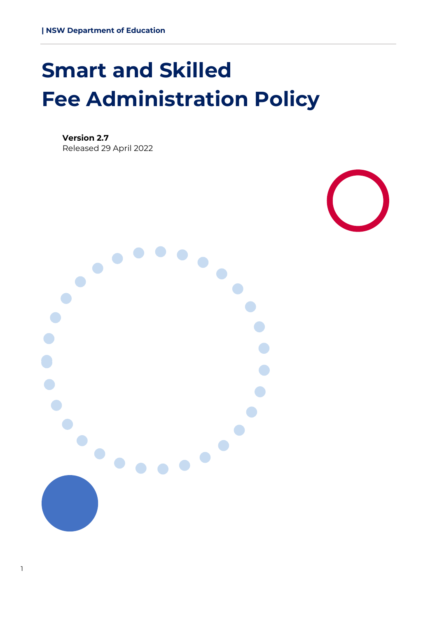# <span id="page-0-0"></span>**Smart and Skilled Fee Administration Policy**

**Version 2.7** Released 29 April 2022



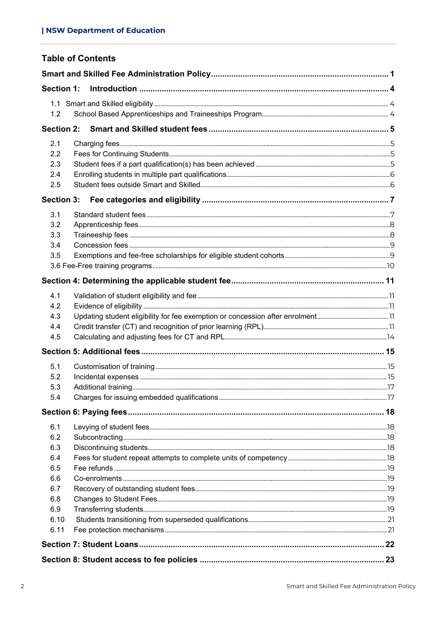| <b>Section 1:</b><br>1.2<br>2.1<br>2.2<br>2.3<br>2.4<br>2.5<br><b>Section 3:</b><br>3.1<br>3.2<br>3.3<br>3.4<br>3.5<br>4.1<br>4.2<br>4.3<br>4.4<br>4.5<br>5.1<br>5.2<br>5.3<br>5.4<br>6.1<br>6.2<br>6.3<br>6.4<br>6.5<br>6.6<br>6.7<br>6.8<br>6.9<br>6.10<br>6.11 | <b>Table of Contents</b> |  |
|-------------------------------------------------------------------------------------------------------------------------------------------------------------------------------------------------------------------------------------------------------------------|--------------------------|--|
|                                                                                                                                                                                                                                                                   |                          |  |
|                                                                                                                                                                                                                                                                   |                          |  |
|                                                                                                                                                                                                                                                                   |                          |  |
|                                                                                                                                                                                                                                                                   |                          |  |
|                                                                                                                                                                                                                                                                   |                          |  |
|                                                                                                                                                                                                                                                                   |                          |  |
|                                                                                                                                                                                                                                                                   |                          |  |
|                                                                                                                                                                                                                                                                   |                          |  |
|                                                                                                                                                                                                                                                                   |                          |  |
|                                                                                                                                                                                                                                                                   |                          |  |
|                                                                                                                                                                                                                                                                   |                          |  |
|                                                                                                                                                                                                                                                                   |                          |  |
|                                                                                                                                                                                                                                                                   |                          |  |
|                                                                                                                                                                                                                                                                   |                          |  |
|                                                                                                                                                                                                                                                                   |                          |  |
|                                                                                                                                                                                                                                                                   |                          |  |
|                                                                                                                                                                                                                                                                   |                          |  |
|                                                                                                                                                                                                                                                                   |                          |  |
|                                                                                                                                                                                                                                                                   |                          |  |
|                                                                                                                                                                                                                                                                   |                          |  |
|                                                                                                                                                                                                                                                                   |                          |  |
|                                                                                                                                                                                                                                                                   |                          |  |
|                                                                                                                                                                                                                                                                   |                          |  |
|                                                                                                                                                                                                                                                                   |                          |  |
|                                                                                                                                                                                                                                                                   |                          |  |
|                                                                                                                                                                                                                                                                   |                          |  |
|                                                                                                                                                                                                                                                                   |                          |  |
|                                                                                                                                                                                                                                                                   |                          |  |
|                                                                                                                                                                                                                                                                   |                          |  |
|                                                                                                                                                                                                                                                                   |                          |  |
|                                                                                                                                                                                                                                                                   |                          |  |
|                                                                                                                                                                                                                                                                   |                          |  |
|                                                                                                                                                                                                                                                                   |                          |  |
|                                                                                                                                                                                                                                                                   |                          |  |
|                                                                                                                                                                                                                                                                   |                          |  |
|                                                                                                                                                                                                                                                                   |                          |  |
|                                                                                                                                                                                                                                                                   |                          |  |
|                                                                                                                                                                                                                                                                   |                          |  |
|                                                                                                                                                                                                                                                                   |                          |  |
|                                                                                                                                                                                                                                                                   |                          |  |
|                                                                                                                                                                                                                                                                   |                          |  |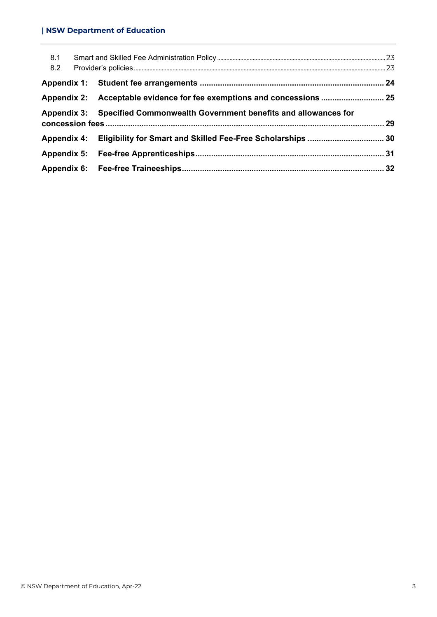#### **| NSW Department of Education**

| 8.1 |                                                                           |  |
|-----|---------------------------------------------------------------------------|--|
| 8.2 |                                                                           |  |
|     |                                                                           |  |
|     | Appendix 2: Acceptable evidence for fee exemptions and concessions  25    |  |
|     | Appendix 3: Specified Commonwealth Government benefits and allowances for |  |
|     |                                                                           |  |
|     |                                                                           |  |
|     |                                                                           |  |
|     |                                                                           |  |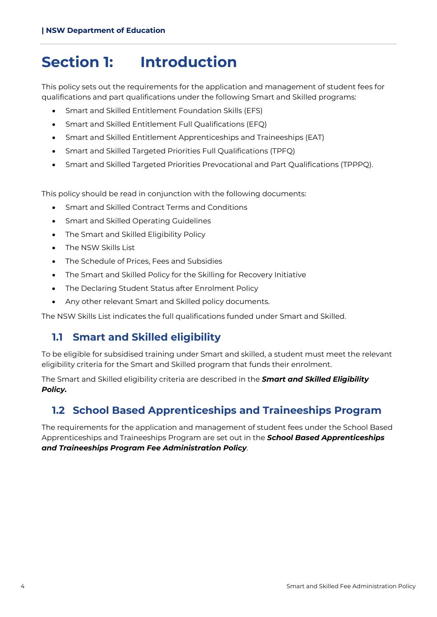## <span id="page-3-0"></span>**Section 1: Introduction**

This policy sets out the requirements for the application and management of student fees for qualifications and part qualifications under the following Smart and Skilled programs:

- Smart and Skilled Entitlement Foundation Skills (EFS)
- Smart and Skilled Entitlement Full Qualifications (EFQ)
- Smart and Skilled Entitlement Apprenticeships and Traineeships (EAT)
- Smart and Skilled Targeted Priorities Full Qualifications (TPFQ)
- Smart and Skilled Targeted Priorities Prevocational and Part Qualifications (TPPPQ).

This policy should be read in conjunction with the following documents:

- Smart and Skilled Contract Terms and Conditions
- Smart and Skilled Operating Guidelines
- The Smart and Skilled Eligibility Policy
- The NSW Skills List
- The Schedule of Prices, Fees and Subsidies
- The Smart and Skilled Policy for the Skilling for Recovery Initiative
- The Declaring Student Status after Enrolment Policy
- Any other relevant Smart and Skilled policy documents.

<span id="page-3-1"></span>The NSW Skills List indicates the full qualifications funded under Smart and Skilled.

## **1.1 Smart and Skilled eligibility**

To be eligible for subsidised training under Smart and skilled, a student must meet the relevant eligibility criteria for the Smart and Skilled program that funds their enrolment.

The Smart and Skilled eligibility criteria are described in the *Smart and Skilled Eligibility Policy.*

## <span id="page-3-2"></span>**1.2 School Based Apprenticeships and Traineeships Program**

The requirements for the application and management of student fees under the School Based Apprenticeships and Traineeships Program are set out in the *School Based Apprenticeships and Traineeships Program Fee Administration Policy*.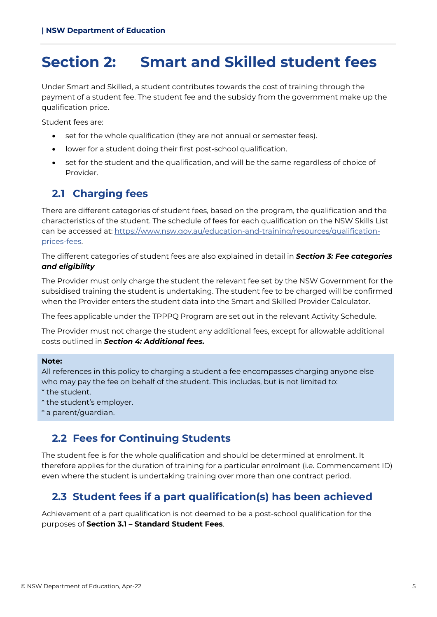## <span id="page-4-0"></span>**Section 2: Smart and Skilled student fees**

Under Smart and Skilled, a student contributes towards the cost of training through the payment of a student fee. The student fee and the subsidy from the government make up the qualification price.

Student fees are:

- set for the whole qualification (they are not annual or semester fees).
- lower for a student doing their first post-school qualification.
- set for the student and the qualification, and will be the same regardless of choice of Provider.

## <span id="page-4-1"></span>**2.1 Charging fees**

There are different categories of student fees, based on the program, the qualification and the characteristics of the student. The schedule of fees for each qualification on the NSW Skills List can be accessed at: [https://www.nsw.gov.au/education-and-training/resources/qualification](https://www.nsw.gov.au/education-and-training/resources/qualification-prices-fees)[prices-fees.](https://www.nsw.gov.au/education-and-training/resources/qualification-prices-fees)

The different categories of student fees are also explained in detail in *Section 3: Fee categories and eligibility*

The Provider must only charge the student the relevant fee set by the NSW Government for the subsidised training the student is undertaking. The student fee to be charged will be confirmed when the Provider enters the student data into the Smart and Skilled Provider Calculator.

The fees applicable under the TPPPQ Program are set out in the relevant Activity Schedule.

The Provider must not charge the student any additional fees, except for allowable additional costs outlined in *Section 4: Additional fees.*

#### **Note:**

All references in this policy to charging a student a fee encompasses charging anyone else who may pay the fee on behalf of the student. This includes, but is not limited to: \* the student.

- \* the student's employer.
- \* a parent/guardian.

### <span id="page-4-2"></span>**2.2 Fees for Continuing Students**

The student fee is for the whole qualification and should be determined at enrolment. It therefore applies for the duration of training for a particular enrolment (i.e. Commencement ID) even where the student is undertaking training over more than one contract period.

## <span id="page-4-3"></span>**2.3 Student fees if a part qualification(s) has been achieved**

Achievement of a part qualification is not deemed to be a post-school qualification for the purposes of **Section 3.1 – Standard Student Fees**.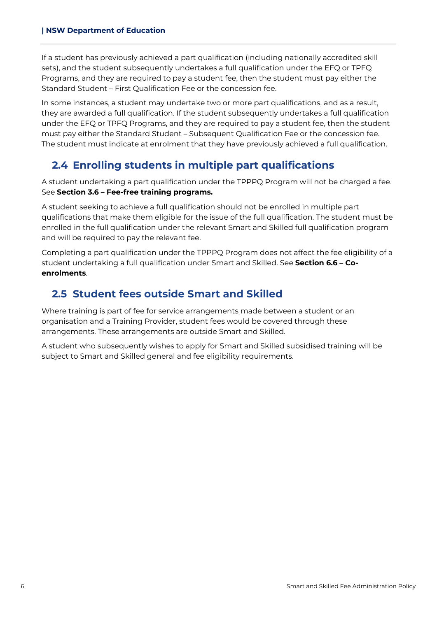If a student has previously achieved a part qualification (including nationally accredited skill sets), and the student subsequently undertakes a full qualification under the EFQ or TPFQ Programs, and they are required to pay a student fee, then the student must pay either the Standard Student – First Qualification Fee or the concession fee.

In some instances, a student may undertake two or more part qualifications, and as a result, they are awarded a full qualification. If the student subsequently undertakes a full qualification under the EFQ or TPFQ Programs, and they are required to pay a student fee, then the student must pay either the Standard Student – Subsequent Qualification Fee or the concession fee. The student must indicate at enrolment that they have previously achieved a full qualification.

## <span id="page-5-0"></span>**2.4 Enrolling students in multiple part qualifications**

A student undertaking a part qualification under the TPPPQ Program will not be charged a fee. See **Section 3.6 – Fee-free training programs.**

A student seeking to achieve a full qualification should not be enrolled in multiple part qualifications that make them eligible for the issue of the full qualification. The student must be enrolled in the full qualification under the relevant Smart and Skilled full qualification program and will be required to pay the relevant fee.

Completing a part qualification under the TPPPQ Program does not affect the fee eligibility of a student undertaking a full qualification under Smart and Skilled. See **Section 6.6 – Coenrolments**.

## <span id="page-5-1"></span>**2.5 Student fees outside Smart and Skilled**

Where training is part of fee for service arrangements made between a student or an organisation and a Training Provider, student fees would be covered through these arrangements. These arrangements are outside Smart and Skilled.

A student who subsequently wishes to apply for Smart and Skilled subsidised training will be subject to Smart and Skilled general and fee eligibility requirements.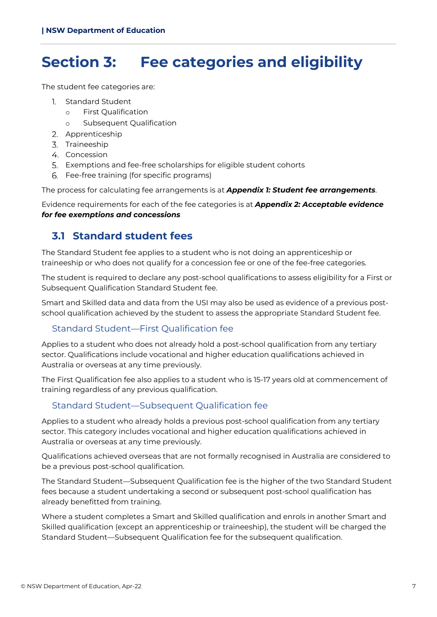## <span id="page-6-0"></span>**Section 3: Fee categories and eligibility**

The student fee categories are:

- Standard Student
	- o First Qualification
	- o Subsequent Qualification
- 2. Apprenticeship
- 3. Traineeship
- 4. Concession
- Exemptions and fee-free scholarships for eligible student cohorts
- Fee-free training (for specific programs)

The process for calculating fee arrangements is at *Appendix 1: Student fee arrangements*.

Evidence requirements for each of the fee categories is at *Appendix 2: Acceptable evidence for fee exemptions and concessions*

## <span id="page-6-1"></span>**3.1 Standard student fees**

The Standard Student fee applies to a student who is not doing an apprenticeship or traineeship or who does not qualify for a concession fee or one of the fee-free categories.

The student is required to declare any post-school qualifications to assess eligibility for a First or Subsequent Qualification Standard Student fee.

Smart and Skilled data and data from the USI may also be used as evidence of a previous postschool qualification achieved by the student to assess the appropriate Standard Student fee.

#### Standard Student—First Qualification fee

Applies to a student who does not already hold a post-school qualification from any tertiary sector. Qualifications include vocational and higher education qualifications achieved in Australia or overseas at any time previously.

The First Qualification fee also applies to a student who is 15-17 years old at commencement of training regardless of any previous qualification.

#### Standard Student—Subsequent Qualification fee

Applies to a student who already holds a previous post-school qualification from any tertiary sector. This category includes vocational and higher education qualifications achieved in Australia or overseas at any time previously.

Qualifications achieved overseas that are not formally recognised in Australia are considered to be a previous post-school qualification.

The Standard Student—Subsequent Qualification fee is the higher of the two Standard Student fees because a student undertaking a second or subsequent post-school qualification has already benefitted from training.

Where a student completes a Smart and Skilled qualification and enrols in another Smart and Skilled qualification (except an apprenticeship or traineeship), the student will be charged the Standard Student—Subsequent Qualification fee for the subsequent qualification.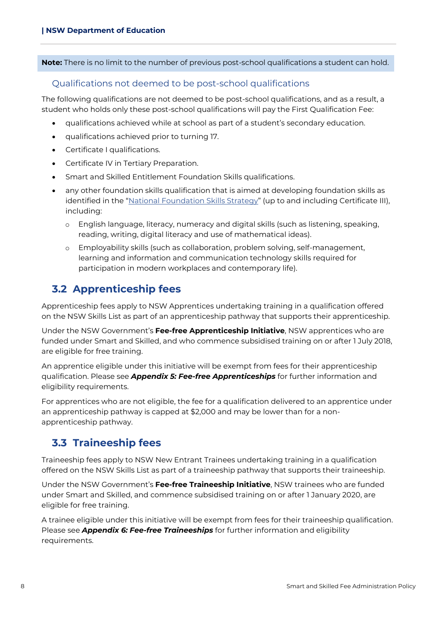**Note:** There is no limit to the number of previous post-school qualifications a student can hold.

#### Qualifications not deemed to be post-school qualifications

The following qualifications are not deemed to be post-school qualifications, and as a result, a student who holds only these post-school qualifications will pay the First Qualification Fee:

- qualifications achieved while at school as part of a student's secondary education.
- qualifications achieved prior to turning 17.
- Certificate I qualifications.
- Certificate IV in Tertiary Preparation.
- Smart and Skilled Entitlement Foundation Skills qualifications.
- any other foundation skills qualification that is aimed at developing foundation skills as identified in the ["National Foundation Skills Strategy"](https://www.dese.gov.au/skills-information-training-providers/resources/national-foundation-skills-strategy-adults) (up to and including Certificate III), including:
	- o English language, literacy, numeracy and digital skills (such as listening, speaking, reading, writing, digital literacy and use of mathematical ideas).
	- o Employability skills (such as collaboration, problem solving, self-management, learning and information and communication technology skills required for participation in modern workplaces and contemporary life).

### <span id="page-7-0"></span>**3.2 Apprenticeship fees**

Apprenticeship fees apply to NSW Apprentices undertaking training in a qualification offered on the NSW Skills List as part of an apprenticeship pathway that supports their apprenticeship.

Under the NSW Government's **Fee-free Apprenticeship Initiative**, NSW apprentices who are funded under Smart and Skilled, and who commence subsidised training on or after 1 July 2018, are eligible for free training.

An apprentice eligible under this initiative will be exempt from fees for their apprenticeship qualification. Please see *Appendix 5: Fee-free Apprenticeships* for further information and eligibility requirements.

For apprentices who are not eligible, the fee for a qualification delivered to an apprentice under an apprenticeship pathway is capped at \$2,000 and may be lower than for a nonapprenticeship pathway.

## <span id="page-7-1"></span>**3.3 Traineeship fees**

Traineeship fees apply to NSW New Entrant Trainees undertaking training in a qualification offered on the NSW Skills List as part of a traineeship pathway that supports their traineeship.

Under the NSW Government's **Fee-free Traineeship Initiative**, NSW trainees who are funded under Smart and Skilled, and commence subsidised training on or after 1 January 2020, are eligible for free training.

A trainee eligible under this initiative will be exempt from fees for their traineeship qualification. Please see *Appendix 6: Fee-free Traineeships* for further information and eligibility requirements.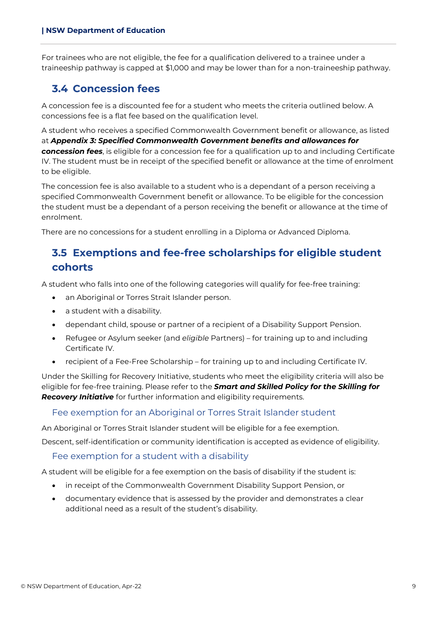For trainees who are not eligible, the fee for a qualification delivered to a trainee under a traineeship pathway is capped at \$1,000 and may be lower than for a non-traineeship pathway.

### <span id="page-8-0"></span>**3.4 Concession fees**

A concession fee is a discounted fee for a student who meets the criteria outlined below. A concessions fee is a flat fee based on the qualification level.

A student who receives a specified Commonwealth Government benefit or allowance, as listed at *Appendix 3: Specified Commonwealth Government benefits and allowances for concession fees*, is eligible for a concession fee for a qualification up to and including Certificate IV. The student must be in receipt of the specified benefit or allowance at the time of enrolment to be eligible.

The concession fee is also available to a student who is a dependant of a person receiving a specified Commonwealth Government benefit or allowance. To be eligible for the concession the student must be a dependant of a person receiving the benefit or allowance at the time of enrolment.

<span id="page-8-1"></span>There are no concessions for a student enrolling in a Diploma or Advanced Diploma.

## **3.5 Exemptions and fee-free scholarships for eligible student cohorts**

A student who falls into one of the following categories will qualify for fee-free training:

- an Aboriginal or Torres Strait Islander person.
- a student with a disability.
- dependant child, spouse or partner of a recipient of a Disability Support Pension.
- Refugee or Asylum seeker (and *eligible* Partners) for training up to and including Certificate IV.
- recipient of a Fee-Free Scholarship for training up to and including Certificate IV.

Under the Skilling for Recovery Initiative, students who meet the eligibility criteria will also be eligible for fee-free training. Please refer to the *Smart and Skilled Policy for the Skilling for Recovery Initiative* for further information and eligibility requirements.

#### Fee exemption for an Aboriginal or Torres Strait Islander student

An Aboriginal or Torres Strait Islander student will be eligible for a fee exemption.

Descent, self-identification or community identification is accepted as evidence of eligibility.

#### Fee exemption for a student with a disability

A student will be eligible for a fee exemption on the basis of disability if the student is:

- in receipt of the Commonwealth Government Disability Support Pension, or
- documentary evidence that is assessed by the provider and demonstrates a clear additional need as a result of the student's disability.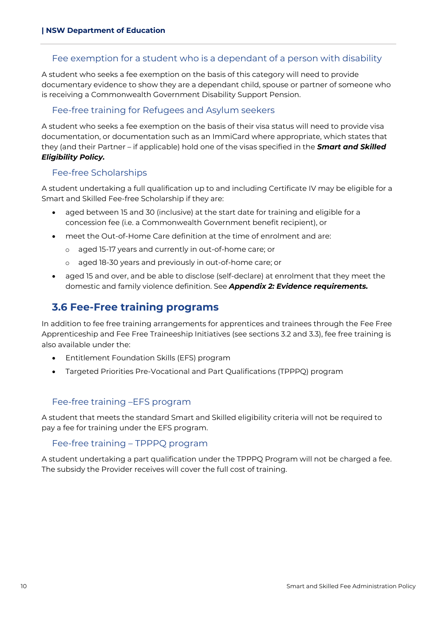#### Fee exemption for a student who is a dependant of a person with disability

A student who seeks a fee exemption on the basis of this category will need to provide documentary evidence to show they are a dependant child, spouse or partner of someone who is receiving a Commonwealth Government Disability Support Pension.

#### Fee-free training for Refugees and Asylum seekers

A student who seeks a fee exemption on the basis of their visa status will need to provide visa documentation, or documentation such as an ImmiCard where appropriate, which states that they (and their Partner – if applicable) hold one of the visas specified in the *Smart and Skilled Eligibility Policy.* 

#### Fee-free Scholarships

A student undertaking a full qualification up to and including Certificate IV may be eligible for a Smart and Skilled Fee-free Scholarship if they are:

- aged between 15 and 30 (inclusive) at the start date for training and eligible for a concession fee (i.e. a Commonwealth Government benefit recipient), or
- meet the Out-of-Home Care definition at the time of enrolment and are:
	- o aged 15-17 years and currently in out-of-home care; or
	- o aged 18-30 years and previously in out-of-home care; or
- aged 15 and over, and be able to disclose (self-declare) at enrolment that they meet the domestic and family violence definition. See *Appendix 2: Evidence requirements.*

## <span id="page-9-0"></span>**3.6 Fee-Free training programs**

In addition to fee free training arrangements for apprentices and trainees through the Fee Free Apprenticeship and Fee Free Traineeship Initiatives (see sections 3.2 and 3.3), fee free training is also available under the:

- Entitlement Foundation Skills (EFS) program
- Targeted Priorities Pre-Vocational and Part Qualifications (TPPPQ) program

#### Fee-free training –EFS program

A student that meets the standard Smart and Skilled eligibility criteria will not be required to pay a fee for training under the EFS program.

#### Fee-free training – TPPPQ program

A student undertaking a part qualification under the TPPPQ Program will not be charged a fee. The subsidy the Provider receives will cover the full cost of training.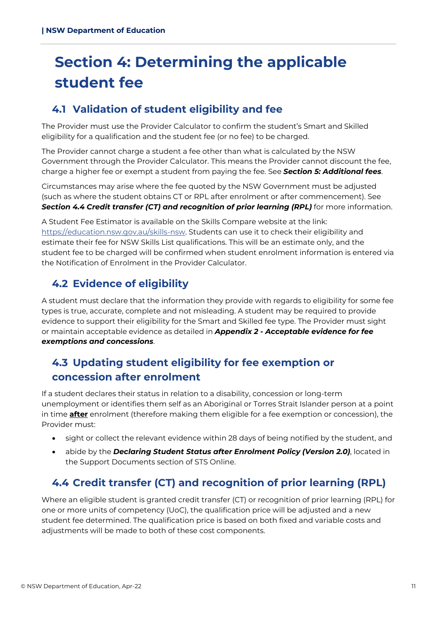## <span id="page-10-0"></span>**Section 4: Determining the applicable student fee**

## <span id="page-10-1"></span>**4.1 Validation of student eligibility and fee**

The Provider must use the Provider Calculator to confirm the student's Smart and Skilled eligibility for a qualification and the student fee (or no fee) to be charged.

The Provider cannot charge a student a fee other than what is calculated by the NSW Government through the Provider Calculator. This means the Provider cannot discount the fee, charge a higher fee or exempt a student from paying the fee. See *Section 5: Additional fees*.

Circumstances may arise where the fee quoted by the NSW Government must be adjusted (such as where the student obtains CT or RPL after enrolment or after commencement). See *Section 4.4 Credit transfer (CT) and recognition of prior learning (RPL)* for more information.

A Student Fee Estimator is available on the Skills Compare website at the link: [https://education.nsw.gov.au/skills-nsw.](https://education.nsw.gov.au/skills-nsw) Students can use it to check their eligibility and estimate their fee for NSW Skills List qualifications. This will be an estimate only, and the student fee to be charged will be confirmed when student enrolment information is entered via the Notification of Enrolment in the Provider Calculator.

## <span id="page-10-2"></span>**4.2 Evidence of eligibility**

A student must declare that the information they provide with regards to eligibility for some fee types is true, accurate, complete and not misleading. A student may be required to provide evidence to support their eligibility for the Smart and Skilled fee type. The Provider must sight or maintain acceptable evidence as detailed in *Appendix 2 - Acceptable evidence for fee exemptions and concessions*.

## <span id="page-10-3"></span>**4.3 Updating student eligibility for fee exemption or concession after enrolment**

If a student declares their status in relation to a disability, concession or long-term unemployment or identifies them self as an Aboriginal or Torres Strait Islander person at a point in time **after** enrolment (therefore making them eligible for a fee exemption or concession), the Provider must:

- sight or collect the relevant evidence within 28 days of being notified by the student, and
- abide by the *Declaring Student Status after Enrolment Policy (Version 2.0)*, located in the Support Documents section of STS Online.

## <span id="page-10-4"></span>**4.4 Credit transfer (CT) and recognition of prior learning (RPL)**

Where an eligible student is granted credit transfer (CT) or recognition of prior learning (RPL) for one or more units of competency (UoC), the qualification price will be adjusted and a new student fee determined. The qualification price is based on both fixed and variable costs and adjustments will be made to both of these cost components.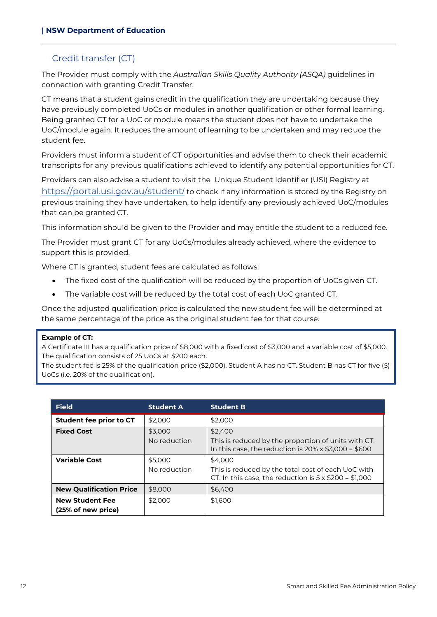#### Credit transfer (CT)

The Provider must comply with the *Australian Skills Quality Authority (ASQA)* guidelines in connection with granting Credit Transfer.

CT means that a student gains credit in the qualification they are undertaking because they have previously completed UoCs or modules in another qualification or other formal learning. Being granted CT for a UoC or module means the student does not have to undertake the UoC/module again. It reduces the amount of learning to be undertaken and may reduce the student fee.

Providers must inform a student of CT opportunities and advise them to check their academic transcripts for any previous qualifications achieved to identify any potential opportunities for CT.

Providers can also advise a student to visit the Unique Student Identifier (USI) Registry at [https://portal.usi.gov.au/student](https://portal.usi.gov.au/student/)/ to check if any information is stored by the Registry on previous training they have undertaken, to help identify any previously achieved UoC/modules that can be granted CT.

This information should be given to the Provider and may entitle the student to a reduced fee.

The Provider must grant CT for any UoCs/modules already achieved, where the evidence to support this is provided.

Where CT is granted, student fees are calculated as follows:

- The fixed cost of the qualification will be reduced by the proportion of UoCs given CT.
- The variable cost will be reduced by the total cost of each UoC granted CT.

Once the adjusted qualification price is calculated the new student fee will be determined at the same percentage of the price as the original student fee for that course.

#### **Example of CT:**

A Certificate III has a qualification price of \$8,000 with a fixed cost of \$3,000 and a variable cost of \$5,000. The qualification consists of 25 UoCs at \$200 each.

The student fee is 25% of the qualification price (\$2,000). Student A has no CT. Student B has CT for five (5) UoCs (i.e. 20% of the qualification).

| <b>Field</b>                                 | <b>Student A</b>        | <b>Student B</b>                                                                                                             |
|----------------------------------------------|-------------------------|------------------------------------------------------------------------------------------------------------------------------|
| Student fee prior to CT                      | \$2,000                 | \$2,000                                                                                                                      |
| <b>Fixed Cost</b>                            | \$3,000<br>No reduction | \$2,400<br>This is reduced by the proportion of units with CT.<br>In this case, the reduction is $20\% \times $3,000 = $600$ |
| <b>Variable Cost</b>                         | \$5,000<br>No reduction | \$4,000<br>This is reduced by the total cost of each UoC with<br>CT. In this case, the reduction is $5 \times $200 = $1,000$ |
| <b>New Qualification Price</b>               | \$8,000                 | \$6,400                                                                                                                      |
| <b>New Student Fee</b><br>(25% of new price) | \$2,000                 | \$1,600                                                                                                                      |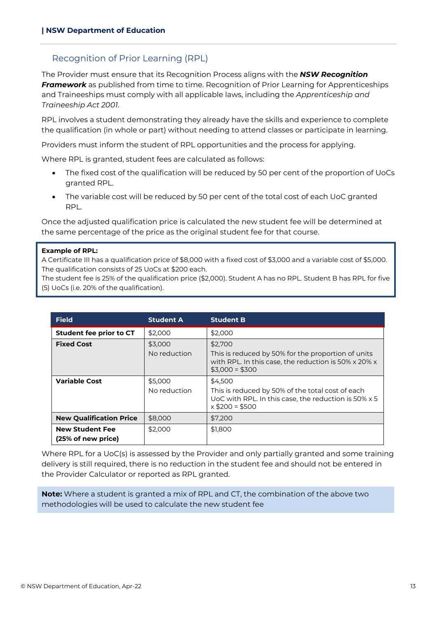#### Recognition of Prior Learning (RPL)

The Provider must ensure that its Recognition Process aligns with the *NSW Recognition Framework* as published from time to time. Recognition of Prior Learning for Apprenticeships and Traineeships must comply with all applicable laws, including the *Apprenticeship and Traineeship Act 2001*.

RPL involves a student demonstrating they already have the skills and experience to complete the qualification (in whole or part) without needing to attend classes or participate in learning.

Providers must inform the student of RPL opportunities and the process for applying.

Where RPL is granted, student fees are calculated as follows:

- The fixed cost of the qualification will be reduced by 50 per cent of the proportion of UoCs granted RPL.
- The variable cost will be reduced by 50 per cent of the total cost of each UoC granted RPL.

Once the adjusted qualification price is calculated the new student fee will be determined at the same percentage of the price as the original student fee for that course.

#### **Example of RPL:**

A Certificate III has a qualification price of \$8,000 with a fixed cost of \$3,000 and a variable cost of \$5,000. The qualification consists of 25 UoCs at \$200 each.

The student fee is 25% of the qualification price (\$2,000). Student A has no RPL. Student B has RPL for five (5) UoCs (i.e. 20% of the qualification).

| <b>Field</b>                                 | <b>Student A</b>        | <b>Student B</b>                                                                                                                         |
|----------------------------------------------|-------------------------|------------------------------------------------------------------------------------------------------------------------------------------|
| Student fee prior to CT                      | \$2,000                 | \$2,000                                                                                                                                  |
| <b>Fixed Cost</b>                            | \$3,000<br>No reduction | \$2,700<br>This is reduced by 50% for the proportion of units<br>with RPL. In this case, the reduction is 50% x 20% x<br>$$3.000 = $300$ |
| <b>Variable Cost</b>                         | \$5,000<br>No reduction | \$4.500<br>This is reduced by 50% of the total cost of each<br>UoC with RPL. In this case, the reduction is 50% x 5<br>$x $200 = $500$   |
| <b>New Qualification Price</b>               | \$8,000                 | \$7,200                                                                                                                                  |
| <b>New Student Fee</b><br>(25% of new price) | \$2,000                 | \$1,800                                                                                                                                  |

Where RPL for a UoC(s) is assessed by the Provider and only partially granted and some training delivery is still required, there is no reduction in the student fee and should not be entered in the Provider Calculator or reported as RPL granted.

**Note:** Where a student is granted a mix of RPL and CT, the combination of the above two methodologies will be used to calculate the new student fee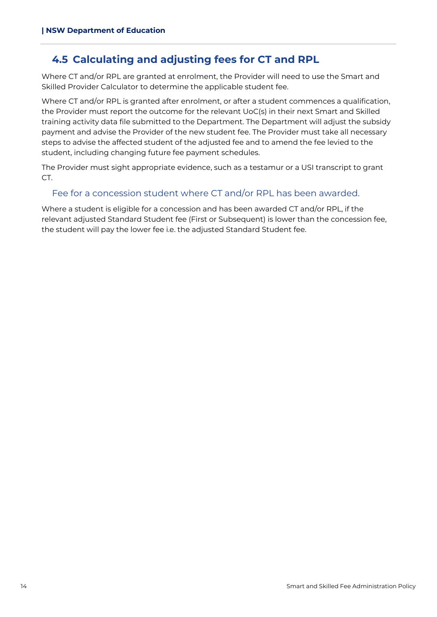## <span id="page-13-0"></span>**4.5 Calculating and adjusting fees for CT and RPL**

Where CT and/or RPL are granted at enrolment, the Provider will need to use the Smart and Skilled Provider Calculator to determine the applicable student fee.

Where CT and/or RPL is granted after enrolment, or after a student commences a qualification, the Provider must report the outcome for the relevant UoC(s) in their next Smart and Skilled training activity data file submitted to the Department. The Department will adjust the subsidy payment and advise the Provider of the new student fee. The Provider must take all necessary steps to advise the affected student of the adjusted fee and to amend the fee levied to the student, including changing future fee payment schedules.

The Provider must sight appropriate evidence, such as a testamur or a USI transcript to grant CT.

#### Fee for a concession student where CT and/or RPL has been awarded.

Where a student is eligible for a concession and has been awarded CT and/or RPL, if the relevant adjusted Standard Student fee (First or Subsequent) is lower than the concession fee, the student will pay the lower fee i.e. the adjusted Standard Student fee.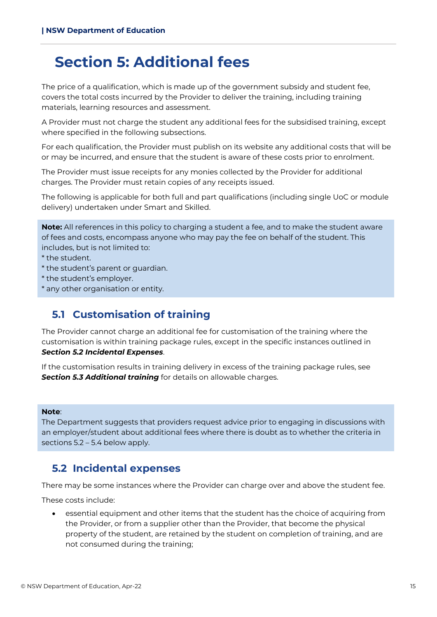## <span id="page-14-0"></span>**Section 5: Additional fees**

The price of a qualification, which is made up of the government subsidy and student fee, covers the total costs incurred by the Provider to deliver the training, including training materials, learning resources and assessment.

A Provider must not charge the student any additional fees for the subsidised training, except where specified in the following subsections.

For each qualification, the Provider must publish on its website any additional costs that will be or may be incurred, and ensure that the student is aware of these costs prior to enrolment.

The Provider must issue receipts for any monies collected by the Provider for additional charges. The Provider must retain copies of any receipts issued.

The following is applicable for both full and part qualifications (including single UoC or module delivery) undertaken under Smart and Skilled.

**Note:** All references in this policy to charging a student a fee, and to make the student aware of fees and costs, encompass anyone who may pay the fee on behalf of the student. This includes, but is not limited to:

- \* the student.
- \* the student's parent or guardian.
- \* the student's employer.
- <span id="page-14-1"></span>\* any other organisation or entity.

## **5.1 Customisation of training**

The Provider cannot charge an additional fee for customisation of the training where the customisation is within training package rules, except in the specific instances outlined in *Section 5.2 Incidental Expenses*.

If the customisation results in training delivery in excess of the training package rules, see **Section 5.3 Additional training** for details on allowable charges.

#### **Note**:

The Department suggests that providers request advice prior to engaging in discussions with an employer/student about additional fees where there is doubt as to whether the criteria in sections 5.2 – 5.4 below apply.

## <span id="page-14-2"></span>**5.2 Incidental expenses**

There may be some instances where the Provider can charge over and above the student fee.

These costs include:

• essential equipment and other items that the student has the choice of acquiring from the Provider, or from a supplier other than the Provider, that become the physical property of the student, are retained by the student on completion of training, and are not consumed during the training;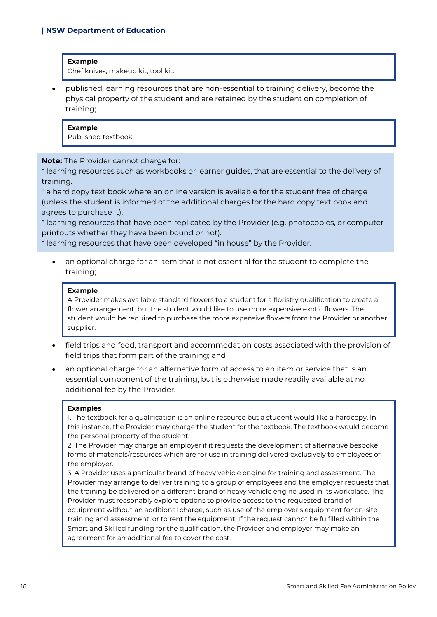#### **Example**

Chef knives, makeup kit, tool kit.

• published learning resources that are non-essential to training delivery, become the physical property of the student and are retained by the student on completion of training;

#### **Example**

Published textbook.

**Note:** The Provider cannot charge for:

\* learning resources such as workbooks or learner guides, that are essential to the delivery of training.

\* a hard copy text book where an online version is available for the student free of charge (unless the student is informed of the additional charges for the hard copy text book and agrees to purchase it).

\* learning resources that have been replicated by the Provider (e.g. photocopies, or computer printouts whether they have been bound or not).

\* learning resources that have been developed "in house" by the Provider.

an optional charge for an item that is not essential for the student to complete the training;

#### **Example**

A Provider makes available standard flowers to a student for a floristry qualification to create a flower arrangement, but the student would like to use more expensive exotic flowers. The student would be required to purchase the more expensive flowers from the Provider or another supplier.

- field trips and food, transport and accommodation costs associated with the provision of field trips that form part of the training; and
- an optional charge for an alternative form of access to an item or service that is an essential component of the training, but is otherwise made readily available at no additional fee by the Provider.

#### **Examples**

1. The textbook for a qualification is an online resource but a student would like a hardcopy. In this instance, the Provider may charge the student for the textbook. The textbook would become the personal property of the student.

2. The Provider may charge an employer if it requests the development of alternative bespoke forms of materials/resources which are for use in training delivered exclusively to employees of the employer.

3. A Provider uses a particular brand of heavy vehicle engine for training and assessment. The Provider may arrange to deliver training to a group of employees and the employer requests that the training be delivered on a different brand of heavy vehicle engine used in its workplace. The Provider must reasonably explore options to provide access to the requested brand of equipment without an additional charge, such as use of the employer's equipment for on-site training and assessment, or to rent the equipment. If the request cannot be fulfilled within the Smart and Skilled funding for the qualification, the Provider and employer may make an agreement for an additional fee to cover the cost.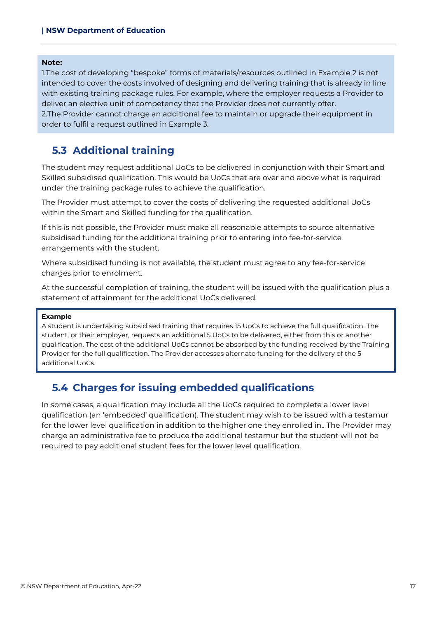#### **Note:**

1.The cost of developing "bespoke" forms of materials/resources outlined in Example 2 is not intended to cover the costs involved of designing and delivering training that is already in line with existing training package rules. For example, where the employer requests a Provider to deliver an elective unit of competency that the Provider does not currently offer. 2.The Provider cannot charge an additional fee to maintain or upgrade their equipment in order to fulfil a request outlined in Example 3.

#### <span id="page-16-0"></span>**5.3 Additional training**

The student may request additional UoCs to be delivered in conjunction with their Smart and Skilled subsidised qualification. This would be UoCs that are over and above what is required under the training package rules to achieve the qualification.

The Provider must attempt to cover the costs of delivering the requested additional UoCs within the Smart and Skilled funding for the qualification.

If this is not possible, the Provider must make all reasonable attempts to source alternative subsidised funding for the additional training prior to entering into fee-for-service arrangements with the student.

Where subsidised funding is not available, the student must agree to any fee-for-service charges prior to enrolment.

At the successful completion of training, the student will be issued with the qualification plus a statement of attainment for the additional UoCs delivered.

#### **Example**

A student is undertaking subsidised training that requires 15 UoCs to achieve the full qualification. The student, or their employer, requests an additional 5 UoCs to be delivered, either from this or another qualification. The cost of the additional UoCs cannot be absorbed by the funding received by the Training Provider for the full qualification. The Provider accesses alternate funding for the delivery of the 5 additional UoCs.

## <span id="page-16-1"></span>**5.4 Charges for issuing embedded qualifications**

In some cases, a qualification may include all the UoCs required to complete a lower level qualification (an 'embedded' qualification). The student may wish to be issued with a testamur for the lower level qualification in addition to the higher one they enrolled in.. The Provider may charge an administrative fee to produce the additional testamur but the student will not be required to pay additional student fees for the lower level qualification.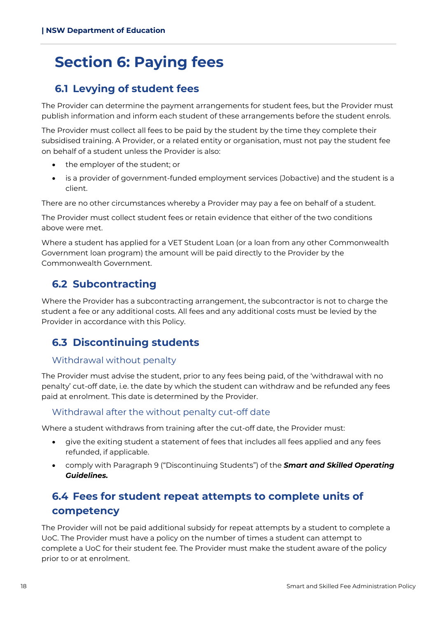## <span id="page-17-0"></span>**Section 6: Paying fees**

## <span id="page-17-1"></span>**6.1 Levying of student fees**

The Provider can determine the payment arrangements for student fees, but the Provider must publish information and inform each student of these arrangements before the student enrols.

The Provider must collect all fees to be paid by the student by the time they complete their subsidised training. A Provider, or a related entity or organisation, must not pay the student fee on behalf of a student unless the Provider is also:

- the employer of the student; or
- is a provider of government-funded employment services (Jobactive) and the student is a client.

There are no other circumstances whereby a Provider may pay a fee on behalf of a student.

The Provider must collect student fees or retain evidence that either of the two conditions above were met.

Where a student has applied for a VET Student Loan (or a loan from any other Commonwealth Government loan program) the amount will be paid directly to the Provider by the Commonwealth Government.

## <span id="page-17-2"></span>**6.2 Subcontracting**

Where the Provider has a subcontracting arrangement, the subcontractor is not to charge the student a fee or any additional costs. All fees and any additional costs must be levied by the Provider in accordance with this Policy.

## <span id="page-17-3"></span>**6.3 Discontinuing students**

#### Withdrawal without penalty

The Provider must advise the student, prior to any fees being paid, of the 'withdrawal with no penalty' cut-off date, i.e. the date by which the student can withdraw and be refunded any fees paid at enrolment. This date is determined by the Provider.

#### Withdrawal after the without penalty cut-off date

Where a student withdraws from training after the cut-off date, the Provider must:

- give the exiting student a statement of fees that includes all fees applied and any fees refunded, if applicable.
- comply with Paragraph 9 ("Discontinuing Students") of the *Smart and Skilled Operating Guidelines.*

## <span id="page-17-4"></span>**6.4 Fees for student repeat attempts to complete units of competency**

The Provider will not be paid additional subsidy for repeat attempts by a student to complete a UoC. The Provider must have a policy on the number of times a student can attempt to complete a UoC for their student fee. The Provider must make the student aware of the policy prior to or at enrolment.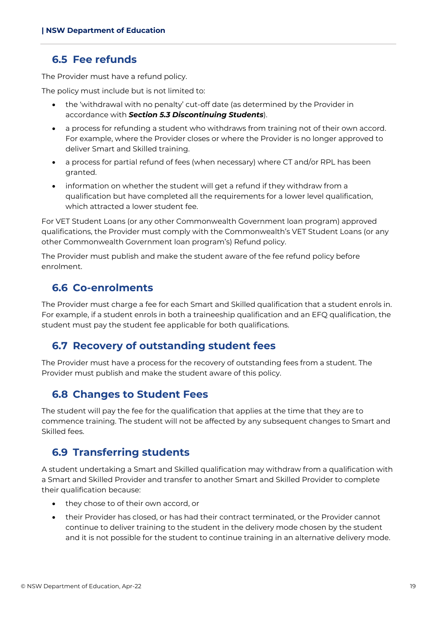### <span id="page-18-0"></span>**6.5 Fee refunds**

The Provider must have a refund policy.

The policy must include but is not limited to:

- the 'withdrawal with no penalty' cut-off date (as determined by the Provider in accordance with *Section 5.3 Discontinuing Students*).
- a process for refunding a student who withdraws from training not of their own accord. For example, where the Provider closes or where the Provider is no longer approved to deliver Smart and Skilled training.
- a process for partial refund of fees (when necessary) where CT and/or RPL has been granted.
- information on whether the student will get a refund if they withdraw from a qualification but have completed all the requirements for a lower level qualification, which attracted a lower student fee.

For VET Student Loans (or any other Commonwealth Government loan program) approved qualifications, the Provider must comply with the Commonwealth's VET Student Loans (or any other Commonwealth Government loan program's) Refund policy.

The Provider must publish and make the student aware of the fee refund policy before enrolment.

### <span id="page-18-1"></span>**6.6 Co-enrolments**

The Provider must charge a fee for each Smart and Skilled qualification that a student enrols in. For example, if a student enrols in both a traineeship qualification and an EFQ qualification, the student must pay the student fee applicable for both qualifications.

### <span id="page-18-2"></span>**6.7 Recovery of outstanding student fees**

The Provider must have a process for the recovery of outstanding fees from a student. The Provider must publish and make the student aware of this policy.

### <span id="page-18-3"></span>**6.8 Changes to Student Fees**

The student will pay the fee for the qualification that applies at the time that they are to commence training. The student will not be affected by any subsequent changes to Smart and Skilled fees.

## <span id="page-18-4"></span>**6.9 Transferring students**

A student undertaking a Smart and Skilled qualification may withdraw from a qualification with a Smart and Skilled Provider and transfer to another Smart and Skilled Provider to complete their qualification because:

- they chose to of their own accord, or
- their Provider has closed, or has had their contract terminated, or the Provider cannot continue to deliver training to the student in the delivery mode chosen by the student and it is not possible for the student to continue training in an alternative delivery mode.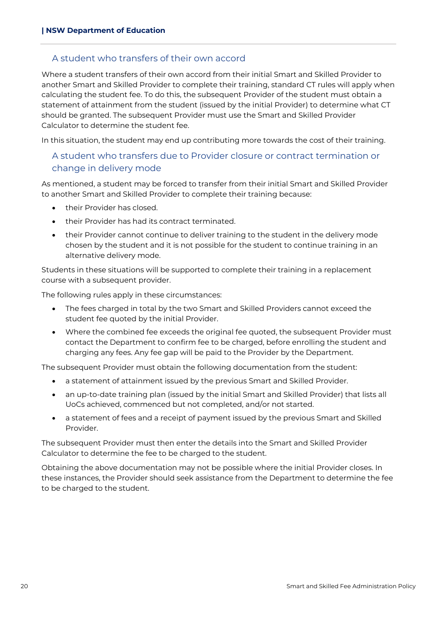#### A student who transfers of their own accord

Where a student transfers of their own accord from their initial Smart and Skilled Provider to another Smart and Skilled Provider to complete their training, standard CT rules will apply when calculating the student fee. To do this, the subsequent Provider of the student must obtain a statement of attainment from the student (issued by the initial Provider) to determine what CT should be granted. The subsequent Provider must use the Smart and Skilled Provider Calculator to determine the student fee.

In this situation, the student may end up contributing more towards the cost of their training.

### A student who transfers due to Provider closure or contract termination or change in delivery mode

As mentioned, a student may be forced to transfer from their initial Smart and Skilled Provider to another Smart and Skilled Provider to complete their training because:

- their Provider has closed.
- their Provider has had its contract terminated.
- their Provider cannot continue to deliver training to the student in the delivery mode chosen by the student and it is not possible for the student to continue training in an alternative delivery mode.

Students in these situations will be supported to complete their training in a replacement course with a subsequent provider.

The following rules apply in these circumstances:

- The fees charged in total by the two Smart and Skilled Providers cannot exceed the student fee quoted by the initial Provider.
- Where the combined fee exceeds the original fee quoted, the subsequent Provider must contact the Department to confirm fee to be charged, before enrolling the student and charging any fees. Any fee gap will be paid to the Provider by the Department.

The subsequent Provider must obtain the following documentation from the student:

- a statement of attainment issued by the previous Smart and Skilled Provider.
- an up-to-date training plan (issued by the initial Smart and Skilled Provider) that lists all UoCs achieved, commenced but not completed, and/or not started.
- a statement of fees and a receipt of payment issued by the previous Smart and Skilled Provider.

The subsequent Provider must then enter the details into the Smart and Skilled Provider Calculator to determine the fee to be charged to the student.

Obtaining the above documentation may not be possible where the initial Provider closes. In these instances, the Provider should seek assistance from the Department to determine the fee to be charged to the student.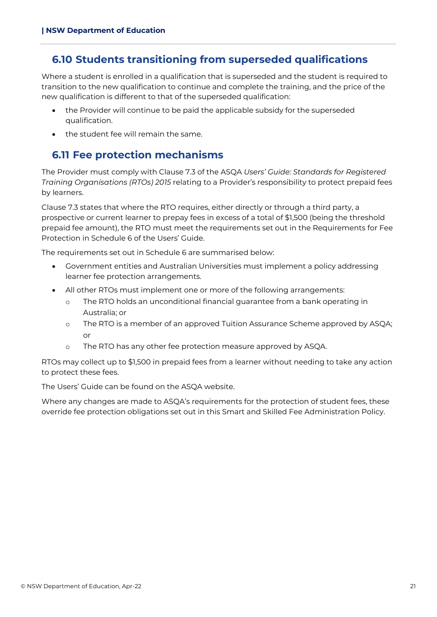## <span id="page-20-0"></span>**6.10 Students transitioning from superseded qualifications**

Where a student is enrolled in a qualification that is superseded and the student is required to transition to the new qualification to continue and complete the training, and the price of the new qualification is different to that of the superseded qualification:

- the Provider will continue to be paid the applicable subsidy for the superseded qualification.
- the student fee will remain the same.

## <span id="page-20-1"></span>**6.11 Fee protection mechanisms**

The Provider must comply with Clause 7.3 of the ASQA *Users' Guide: Standards for Registered Training Organisations (RTOs) 2015* relating to a Provider's responsibility to protect prepaid fees by learners.

Clause 7.3 states that where the RTO requires, either directly or through a third party, a prospective or current learner to prepay fees in excess of a total of \$1,500 (being the threshold prepaid fee amount), the RTO must meet the requirements set out in the Requirements for Fee Protection in Schedule 6 of the Users' Guide.

The requirements set out in Schedule 6 are summarised below:

- Government entities and Australian Universities must implement a policy addressing learner fee protection arrangements.
- All other RTOs must implement one or more of the following arrangements:
	- o The RTO holds an unconditional financial guarantee from a bank operating in Australia; or
	- o The RTO is a member of an approved Tuition Assurance Scheme approved by ASQA; or
	- o The RTO has any other fee protection measure approved by ASQA.

RTOs may collect up to \$1,500 in prepaid fees from a learner without needing to take any action to protect these fees.

The Users' Guide can be found on the ASQA website.

Where any changes are made to ASQA's requirements for the protection of student fees, these override fee protection obligations set out in this Smart and Skilled Fee Administration Policy.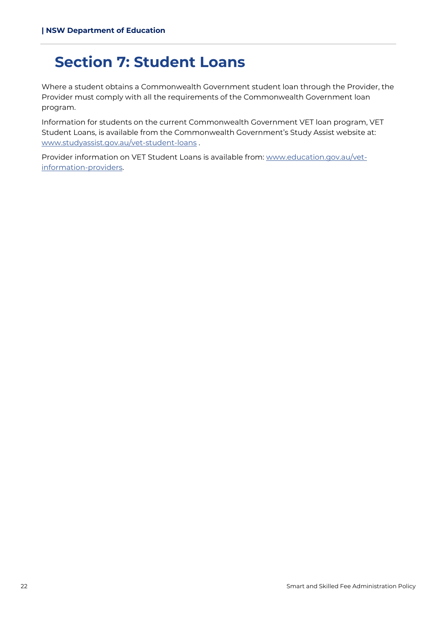## <span id="page-21-0"></span>**Section 7: Student Loans**

Where a student obtains a Commonwealth Government student loan through the Provider, the Provider must comply with all the requirements of the Commonwealth Government loan program.

Information for students on the current Commonwealth Government VET loan program, VET Student Loans, is available from the Commonwealth Government's Study Assist website at: [www.studyassist.gov.au/vet-student-loans](http://www.studyassist.gov.au/vet-student-loans) .

Provider information on VET Student Loans is available from: [www.education.gov.au/vet](http://www.education.gov.au/vet-information-providers)[information-providers.](http://www.education.gov.au/vet-information-providers)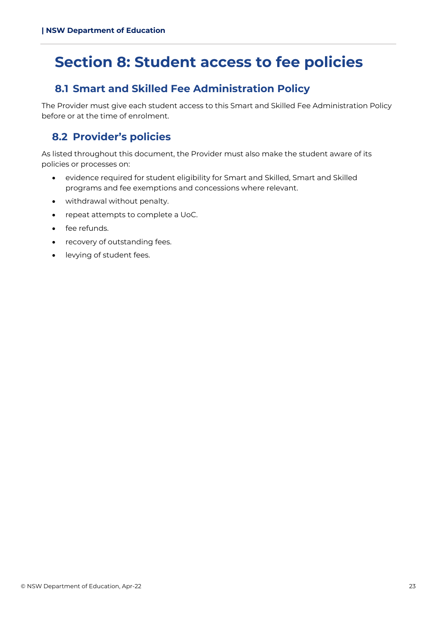## <span id="page-22-0"></span>**Section 8: Student access to fee policies**

## <span id="page-22-1"></span>**8.1 Smart and Skilled Fee Administration Policy**

The Provider must give each student access to this Smart and Skilled Fee Administration Policy before or at the time of enrolment.

## <span id="page-22-2"></span>**8.2 Provider's policies**

As listed throughout this document, the Provider must also make the student aware of its policies or processes on:

- evidence required for student eligibility for Smart and Skilled, Smart and Skilled programs and fee exemptions and concessions where relevant.
- withdrawal without penalty.
- repeat attempts to complete a UoC.
- fee refunds.
- recovery of outstanding fees.
- levying of student fees.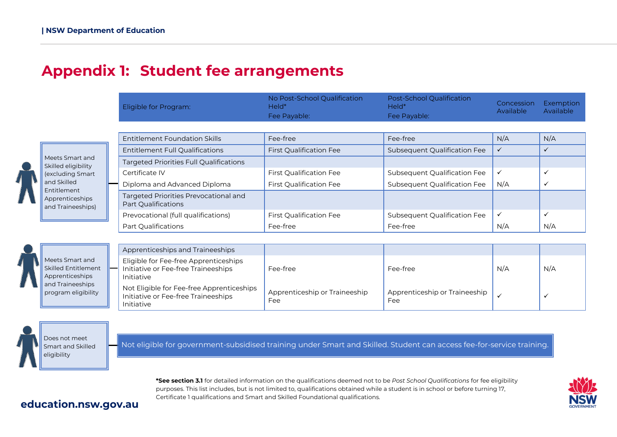## **Appendix 1: Student fee arrangements**

|                                                     | Eligible for Program:                                        | No Post-School Qualification<br>Held*<br>Fee Payable: | Post-School Qualification<br>$HeId^*$<br>Fee Payable: | Concession<br>Available | Exemption<br>Available |
|-----------------------------------------------------|--------------------------------------------------------------|-------------------------------------------------------|-------------------------------------------------------|-------------------------|------------------------|
|                                                     |                                                              |                                                       |                                                       |                         |                        |
|                                                     | Entitlement Foundation Skills                                | Fee-free                                              | Fee-free                                              | N/A                     | N/A                    |
|                                                     | <b>Entitlement Full Qualifications</b>                       | <b>First Qualification Fee</b>                        | <b>Subsequent Qualification Fee</b>                   | $\checkmark$            |                        |
| Meets Smart and<br>Skilled eligibility              | <b>Targeted Priorities Full Qualifications</b>               |                                                       |                                                       |                         |                        |
| (excluding Smart                                    | Certificate IV                                               | <b>First Qualification Fee</b>                        | Subsequent Qualification Fee                          | $\checkmark$            |                        |
| and Skilled                                         | Diploma and Advanced Diploma                                 | <b>First Qualification Fee</b>                        | Subsequent Qualification Fee                          | N/A                     |                        |
| Entitlement<br>Apprenticeships<br>and Traineeships) | Targeted Priorities Prevocational and<br>Part Qualifications |                                                       |                                                       |                         |                        |
|                                                     | Prevocational (full qualifications)                          | <b>First Qualification Fee</b>                        | Subsequent Qualification Fee                          | $\checkmark$            |                        |
|                                                     | Part Qualifications                                          | Fee-free                                              | Fee-free                                              | N/A                     | N/A                    |
|                                                     |                                                              |                                                       |                                                       |                         |                        |

<span id="page-23-0"></span>Meets Sr Skilled En Apprenti and Trair program

|                                                                   | Apprenticeships and Traineeships                                                               |                                      |                                      |     |     |
|-------------------------------------------------------------------|------------------------------------------------------------------------------------------------|--------------------------------------|--------------------------------------|-----|-----|
| art and<br><b>ititlement</b><br>ceships<br>eeships<br>eligibility | Eligible for Fee-free Apprenticeships<br>Initiative or Fee-free Traineeships<br>Initiative     | Fee-free                             | Fee-free                             | N/A | N/A |
|                                                                   | Not Eligible for Fee-free Apprenticeships<br>Initiative or Fee-free Traineeships<br>Initiative | Apprenticeship or Traineeship<br>Fee | Apprenticeship or Traineeship<br>Fee |     |     |



Not eligible for government-subsidised training under Smart and Skilled. Student can access fee-for-service training.

**\*See section 3.1** for detailed information on the qualifications deemed not to be *Post School Qualifications* for fee eligibility purposes. This list includes, but is not limited to, qualifications obtained while a student is in school or before turning 17, Certificate 1 qualifications and Smart and Skilled Foundational qualifications.



### **education.nsw.gov.au**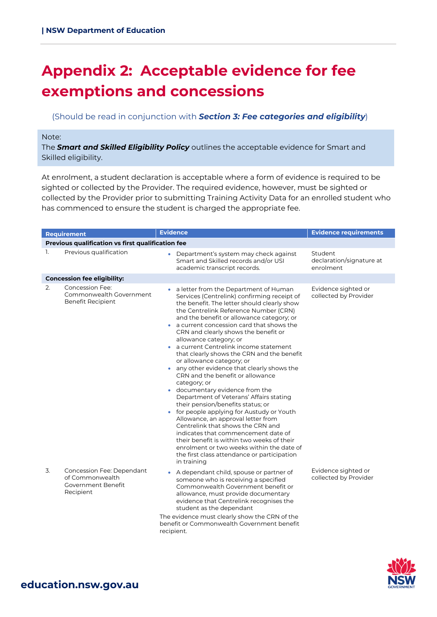## <span id="page-24-0"></span>**Appendix 2: Acceptable evidence for fee exemptions and concessions**

#### (Should be read in conjunction with *Section 3: Fee categories and eligibility*)

#### Note:

The *Smart and Skilled Eligibility Policy* outlines the acceptable evidence for Smart and Skilled eligibility.

At enrolment, a student declaration is acceptable where a form of evidence is required to be sighted or collected by the Provider. The required evidence, however, must be sighted or collected by the Provider prior to submitting Training Activity Data for an enrolled student who has commenced to ensure the student is charged the appropriate fee.

|    | <b>Requirement</b>                                                                     | <b>Evidence</b>                                                                                                                                                                                                                                                                                                                                                                                                                                                                                                                                                                                                                                                                                                                                                                                                                                                                                                                                                                                                         | <b>Evidence requirements</b>                     |
|----|----------------------------------------------------------------------------------------|-------------------------------------------------------------------------------------------------------------------------------------------------------------------------------------------------------------------------------------------------------------------------------------------------------------------------------------------------------------------------------------------------------------------------------------------------------------------------------------------------------------------------------------------------------------------------------------------------------------------------------------------------------------------------------------------------------------------------------------------------------------------------------------------------------------------------------------------------------------------------------------------------------------------------------------------------------------------------------------------------------------------------|--------------------------------------------------|
|    | Previous qualification vs first qualification fee                                      |                                                                                                                                                                                                                                                                                                                                                                                                                                                                                                                                                                                                                                                                                                                                                                                                                                                                                                                                                                                                                         |                                                  |
| 1. | Previous qualification                                                                 | Department's system may check against<br>$\bullet$<br>Smart and Skilled records and/or USI<br>academic transcript records.                                                                                                                                                                                                                                                                                                                                                                                                                                                                                                                                                                                                                                                                                                                                                                                                                                                                                              | Student<br>declaration/signature at<br>enrolment |
|    | <b>Concession fee eligibility:</b>                                                     |                                                                                                                                                                                                                                                                                                                                                                                                                                                                                                                                                                                                                                                                                                                                                                                                                                                                                                                                                                                                                         |                                                  |
| 2. | <b>Concession Fee:</b><br>Commonwealth Government<br>Benefit Recipient                 | • a letter from the Department of Human<br>Services (Centrelink) confirming receipt of<br>the benefit. The letter should clearly show<br>the Centrelink Reference Number (CRN)<br>and the benefit or allowance category; or<br>a current concession card that shows the<br>CRN and clearly shows the benefit or<br>allowance category; or<br>a current Centrelink income statement<br>$\bullet$<br>that clearly shows the CRN and the benefit<br>or allowance category; or<br>• any other evidence that clearly shows the<br>CRN and the benefit or allowance<br>category; or<br>documentary evidence from the<br>Department of Veterans' Affairs stating<br>their pension/benefits status; or<br>• for people applying for Austudy or Youth<br>Allowance, an approval letter from<br>Centrelink that shows the CRN and<br>indicates that commencement date of<br>their benefit is within two weeks of their<br>enrolment or two weeks within the date of<br>the first class attendance or participation<br>in training | Evidence sighted or<br>collected by Provider     |
| 3. | Concession Fee: Dependant<br>of Commonwealth<br><b>Government Benefit</b><br>Recipient | • A dependant child, spouse or partner of<br>someone who is receiving a specified<br>Commonwealth Government benefit or<br>allowance, must provide documentary<br>evidence that Centrelink recognises the<br>student as the dependant<br>The evidence must clearly show the CRN of the<br>benefit or Commonwealth Government benefit<br>recipient.                                                                                                                                                                                                                                                                                                                                                                                                                                                                                                                                                                                                                                                                      | Evidence sighted or<br>collected by Provider     |

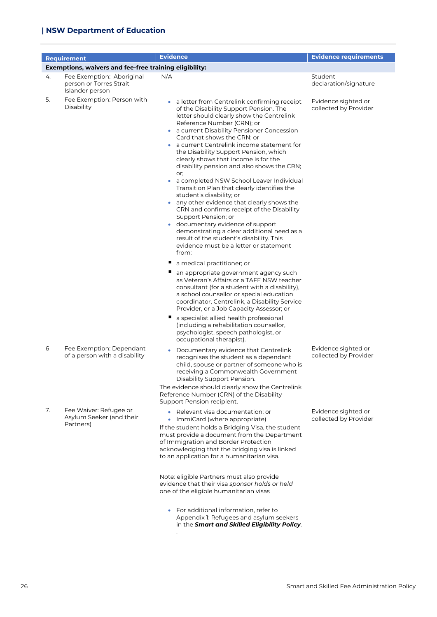#### **| NSW Department of Education**

|    | <b>Requirement</b>                                                      | <b>Evidence</b>                                                                                                                                                                                                                                                                                                                                                                                                                                                                                                                                                                                                                                                                                                                                                                                                                                                                                                                                                                                                                                                                                                                                                                                                                                                                                                                                                                    | <b>Evidence requirements</b>                 |  |  |  |
|----|-------------------------------------------------------------------------|------------------------------------------------------------------------------------------------------------------------------------------------------------------------------------------------------------------------------------------------------------------------------------------------------------------------------------------------------------------------------------------------------------------------------------------------------------------------------------------------------------------------------------------------------------------------------------------------------------------------------------------------------------------------------------------------------------------------------------------------------------------------------------------------------------------------------------------------------------------------------------------------------------------------------------------------------------------------------------------------------------------------------------------------------------------------------------------------------------------------------------------------------------------------------------------------------------------------------------------------------------------------------------------------------------------------------------------------------------------------------------|----------------------------------------------|--|--|--|
|    | Exemptions, waivers and fee-free training eligibility:                  |                                                                                                                                                                                                                                                                                                                                                                                                                                                                                                                                                                                                                                                                                                                                                                                                                                                                                                                                                                                                                                                                                                                                                                                                                                                                                                                                                                                    |                                              |  |  |  |
| 4. | Fee Exemption: Aboriginal<br>person or Torres Strait<br>Islander person | N/A                                                                                                                                                                                                                                                                                                                                                                                                                                                                                                                                                                                                                                                                                                                                                                                                                                                                                                                                                                                                                                                                                                                                                                                                                                                                                                                                                                                | Student<br>declaration/signature             |  |  |  |
| 5. | Fee Exemption: Person with<br>Disability                                | a letter from Centrelink confirming receipt<br>of the Disability Support Pension. The<br>letter should clearly show the Centrelink<br>Reference Number (CRN); or<br>a current Disability Pensioner Concession<br>$\bullet$<br>Card that shows the CRN; or<br>a current Centrelink income statement for<br>the Disability Support Pension, which<br>clearly shows that income is for the<br>disability pension and also shows the CRN;<br>or;<br>a completed NSW School Leaver Individual<br>$\bullet$<br>Transition Plan that clearly identifies the<br>student's disability; or<br>any other evidence that clearly shows the<br>$\bullet$<br>CRN and confirms receipt of the Disability<br>Support Pension; or<br>documentary evidence of support<br>demonstrating a clear additional need as a<br>result of the student's disability. This<br>evidence must be a letter or statement<br>from:<br>п<br>a medical practitioner; or<br>an appropriate government agency such<br>as Veteran's Affairs or a TAFE NSW teacher<br>consultant (for a student with a disability),<br>a school counsellor or special education<br>coordinator, Centrelink, a Disability Service<br>Provider, or a Job Capacity Assessor; or<br>a specialist allied health professional<br>щ<br>(including a rehabilitation counsellor,<br>psychologist, speech pathologist, or<br>occupational therapist). | Evidence sighted or<br>collected by Provider |  |  |  |
| 6  | Fee Exemption: Dependant<br>of a person with a disability               | Documentary evidence that Centrelink<br>$\bullet$<br>recognises the student as a dependant<br>child, spouse or partner of someone who is<br>receiving a Commonwealth Government<br>Disability Support Pension.<br>The evidence should clearly show the Centrelink<br>Reference Number (CRN) of the Disability<br>Support Pension recipient.                                                                                                                                                                                                                                                                                                                                                                                                                                                                                                                                                                                                                                                                                                                                                                                                                                                                                                                                                                                                                                        | Evidence sighted or<br>collected by Provider |  |  |  |
| 7. | Fee Waiver: Refugee or<br>Asylum Seeker (and their<br>Partners)         | • Relevant visa documentation: or<br>• ImmiCard (where appropriate)<br>If the student holds a Bridging Visa, the student<br>must provide a document from the Department<br>of Immigration and Border Protection<br>acknowledging that the bridging visa is linked<br>to an application for a humanitarian visa.<br>Note: eligible Partners must also provide<br>evidence that their visa sponsor holds or held<br>one of the eligible humanitarian visas<br>For additional information, refer to<br>Appendix 1: Refugees and asylum seekers<br>in the Smart and Skilled Eligibility Policy.                                                                                                                                                                                                                                                                                                                                                                                                                                                                                                                                                                                                                                                                                                                                                                                        | Evidence sighted or<br>collected by Provider |  |  |  |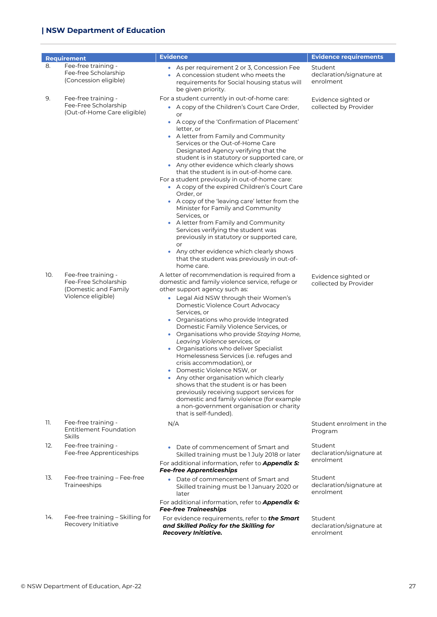|     | <b>Requirement</b>                                                                        | <b>Evidence</b>                                                                                                                                                                                                                                                                                                                                                                                                                                                                                                                                                                                                                                                                                                                                                                                                                                                                            | <b>Evidence requirements</b>                     |
|-----|-------------------------------------------------------------------------------------------|--------------------------------------------------------------------------------------------------------------------------------------------------------------------------------------------------------------------------------------------------------------------------------------------------------------------------------------------------------------------------------------------------------------------------------------------------------------------------------------------------------------------------------------------------------------------------------------------------------------------------------------------------------------------------------------------------------------------------------------------------------------------------------------------------------------------------------------------------------------------------------------------|--------------------------------------------------|
| 8.  | Fee-free training -<br>Fee-free Scholarship<br>(Concession eligible)                      | • As per requirement 2 or 3, Concession Fee<br>A concession student who meets the<br>requirements for Social housing status will<br>be given priority.                                                                                                                                                                                                                                                                                                                                                                                                                                                                                                                                                                                                                                                                                                                                     | Student<br>declaration/signature at<br>enrolment |
| 9.  | Fee-free training -<br>Fee-Free Scholarship<br>(Out-of-Home Care eligible)                | For a student currently in out-of-home care:<br>• A copy of the Children's Court Care Order,<br>or<br>• A copy of the 'Confirmation of Placement'<br>letter, or<br>• A letter from Family and Community<br>Services or the Out-of-Home Care<br>Designated Agency verifying that the<br>student is in statutory or supported care, or<br>• Any other evidence which clearly shows<br>that the student is in out-of-home care.<br>For a student previously in out-of-home care:<br>• A copy of the expired Children's Court Care<br>Order, or<br>• A copy of the 'leaving care' letter from the<br>Minister for Family and Community<br>Services, or<br>• A letter from Family and Community<br>Services verifying the student was<br>previously in statutory or supported care,<br>or<br>Any other evidence which clearly shows<br>that the student was previously in out-of-<br>home care. | Evidence sighted or<br>collected by Provider     |
| 10. | Fee-free training -<br>Fee-Free Scholarship<br>(Domestic and Family<br>Violence eligible) | A letter of recommendation is required from a<br>domestic and family violence service, refuge or<br>other support agency such as:<br>• Legal Aid NSW through their Women's<br>Domestic Violence Court Advocacy<br>Services, or<br>• Organisations who provide Integrated<br>Domestic Family Violence Services, or<br>• Organisations who provide Staying Home,<br>Leaving Violence services, or<br>• Organisations who deliver Specialist<br>Homelessness Services (i.e. refuges and<br>crisis accommodation), or<br>Domestic Violence NSW, or<br>Any other organisation which clearly<br>shows that the student is or has been<br>previously receiving support services for<br>domestic and family violence (for example<br>a non-government organisation or charity<br>that is self-funded).                                                                                             | Evidence sighted or<br>collected by Provider     |
| 11. | Fee-free training -<br><b>Entitlement Foundation</b><br>Skills                            | N/A                                                                                                                                                                                                                                                                                                                                                                                                                                                                                                                                                                                                                                                                                                                                                                                                                                                                                        | Student enrolment in the<br>Program              |
| 12. | Fee-free training -<br>Fee-free Apprenticeships                                           | Date of commencement of Smart and<br>Skilled training must be 1 July 2018 or later<br>For additional information, refer to <b>Appendix 5:</b><br><b>Fee-free Apprenticeships</b>                                                                                                                                                                                                                                                                                                                                                                                                                                                                                                                                                                                                                                                                                                           | Student<br>declaration/signature at<br>enrolment |
| 13. | Fee-free training - Fee-free<br>Traineeships                                              | Date of commencement of Smart and<br>Skilled training must be 1 January 2020 or<br>later<br>For additional information, refer to <b>Appendix 6:</b><br><b>Fee-free Traineeships</b>                                                                                                                                                                                                                                                                                                                                                                                                                                                                                                                                                                                                                                                                                                        | Student<br>declaration/signature at<br>enrolment |
| 14. | Fee-free training - Skilling for<br>Recovery Initiative                                   | For evidence requirements, refer to the Smart<br>and Skilled Policy for the Skilling for<br><b>Recovery Initiative.</b>                                                                                                                                                                                                                                                                                                                                                                                                                                                                                                                                                                                                                                                                                                                                                                    | Student<br>declaration/signature at<br>enrolment |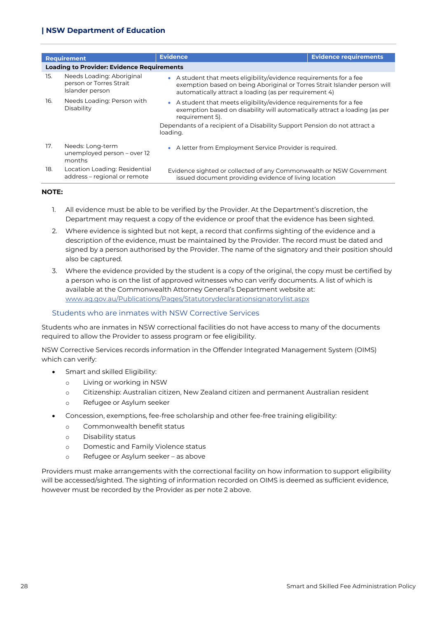| Requirement |                                                                         | <b>Evidence</b>                                                                                                                                                                                                                                               | <b>Evidence requirements</b> |
|-------------|-------------------------------------------------------------------------|---------------------------------------------------------------------------------------------------------------------------------------------------------------------------------------------------------------------------------------------------------------|------------------------------|
|             | <b>Loading to Provider: Evidence Requirements</b>                       |                                                                                                                                                                                                                                                               |                              |
| 15.         | Needs Loading: Aboriginal<br>person or Torres Strait<br>Islander person | • A student that meets eligibility/evidence requirements for a fee<br>exemption based on being Aboriginal or Torres Strait Islander person will<br>automatically attract a loading (as per requirement 4)                                                     |                              |
| 16.         | Needs Loading: Person with<br>Disability                                | • A student that meets eligibility/evidence requirements for a fee<br>exemption based on disability will automatically attract a loading (as per<br>requirement 5).<br>Dependants of a recipient of a Disability Support Pension do not attract a<br>loading. |                              |
| 17.         | Needs: Long-term<br>unemployed person - over 12<br>months               | • A letter from Employment Service Provider is required.                                                                                                                                                                                                      |                              |
| 18.         | Location Loading: Residential<br>address - regional or remote           | Evidence sighted or collected of any Commonwealth or NSW Government<br>issued document providing evidence of living location                                                                                                                                  |                              |

#### **NOTE:**

- 1. All evidence must be able to be verified by the Provider. At the Department's discretion, the Department may request a copy of the evidence or proof that the evidence has been sighted.
- 2. Where evidence is sighted but not kept, a record that confirms sighting of the evidence and a description of the evidence, must be maintained by the Provider. The record must be dated and signed by a person authorised by the Provider. The name of the signatory and their position should also be captured.
- 3. Where the evidence provided by the student is a copy of the original, the copy must be certified by a person who is on the list of approved witnesses who can verify documents. A list of which is available at the Commonwealth Attorney General's Department website at: [www.ag.gov.au/Publications/Pages/Statutorydeclarationsignatorylist.aspx](http://www.ag.gov.au/Publications/Pages/Statutorydeclarationsignatorylist.aspx)

#### Students who are inmates with NSW Corrective Services

Students who are inmates in NSW correctional facilities do not have access to many of the documents required to allow the Provider to assess program or fee eligibility.

NSW Corrective Services records information in the Offender Integrated Management System (OIMS) which can verify:

- Smart and skilled Eligibility:
	- o Living or working in NSW
	- o Citizenship: Australian citizen, New Zealand citizen and permanent Australian resident
	- o Refugee or Asylum seeker
- Concession, exemptions, fee-free scholarship and other fee-free training eligibility:
	- o Commonwealth benefit status
	- o Disability status
	- o Domestic and Family Violence status
	- o Refugee or Asylum seeker as above

Providers must make arrangements with the correctional facility on how information to support eligibility will be accessed/sighted. The sighting of information recorded on OIMS is deemed as sufficient evidence, however must be recorded by the Provider as per note 2 above.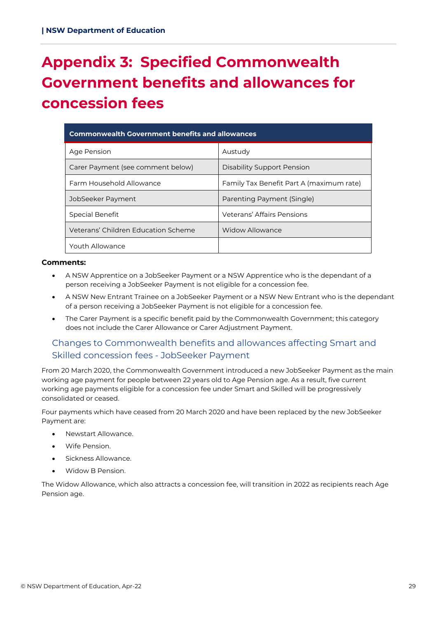## <span id="page-28-0"></span>**Appendix 3: Specified Commonwealth Government benefits and allowances for concession fees**

| <b>Commonwealth Government benefits and allowances</b> |                                          |  |  |
|--------------------------------------------------------|------------------------------------------|--|--|
| Age Pension                                            | Austudy                                  |  |  |
| Carer Payment (see comment below)                      | Disability Support Pension               |  |  |
| Farm Household Allowance                               | Family Tax Benefit Part A (maximum rate) |  |  |
| JobSeeker Payment                                      | Parenting Payment (Single)               |  |  |
| Special Benefit                                        | Veterans' Affairs Pensions               |  |  |
| Veterans' Children Education Scheme                    | <b>Widow Allowance</b>                   |  |  |
| Youth Allowance                                        |                                          |  |  |

#### **Comments:**

- A NSW Apprentice on a JobSeeker Payment or a NSW Apprentice who is the dependant of a person receiving a JobSeeker Payment is not eligible for a concession fee.
- A NSW New Entrant Trainee on a JobSeeker Payment or a NSW New Entrant who is the dependant of a person receiving a JobSeeker Payment is not eligible for a concession fee.
- The Carer Payment is a specific benefit paid by the Commonwealth Government; this category does not include the Carer Allowance or Carer Adjustment Payment.

#### Changes to Commonwealth benefits and allowances affecting Smart and Skilled concession fees - JobSeeker Payment

From 20 March 2020, the Commonwealth Government introduced a new JobSeeker Payment as the main working age payment for people between 22 years old to Age Pension age. As a result, five current working age payments eligible for a concession fee under Smart and Skilled will be progressively consolidated or ceased.

Four payments which have ceased from 20 March 2020 and have been replaced by the new JobSeeker Payment are:

- Newstart Allowance.
- Wife Pension.
- Sickness Allowance.
- Widow B Pension.

The Widow Allowance, which also attracts a concession fee, will transition in 2022 as recipients reach Age Pension age.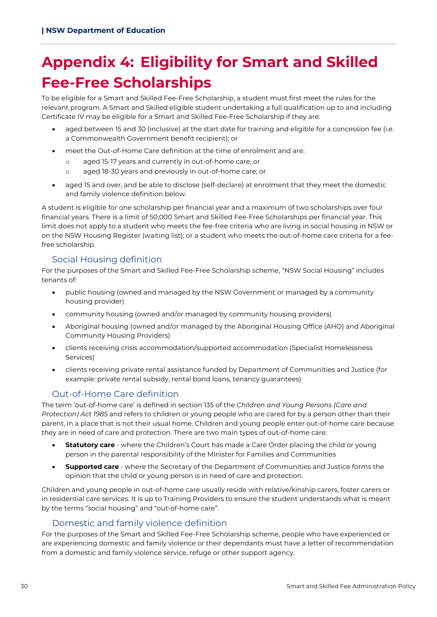## <span id="page-29-0"></span>**Appendix 4: Eligibility for Smart and Skilled Fee-Free Scholarships**

To be eligible for a Smart and Skilled Fee-Free Scholarship, a student must first meet the rules for the relevant program. A Smart and Skilled eligible student undertaking a full qualification up to and including Certificate IV may be eligible for a Smart and Skilled Fee-Free Scholarship if they are:

- aged between 15 and 30 (inclusive) at the start date for training and eligible for a concession fee (i.e. a Commonwealth Government benefit recipient); or
- meet the Out-of-Home Care definition at the time of enrolment and are:
	- o aged 15-17 years and currently in out-of-home care, or
	- o aged 18-30 years and previously in out-of-home care; or
- aged 15 and over, and be able to disclose (self-declare) at enrolment that they meet the domestic and family violence definition below.

A student is eligible for one scholarship per financial year and a maximum of two scholarships over four financial years. There is a limit of 50,000 Smart and Skilled Fee-Free Scholarships per financial year. This limit does not apply to a student who meets the fee-free criteria who are living in social housing in NSW or on the NSW Housing Register (waiting list); or a student who meets the out-of-home care criteria for a feefree scholarship.

#### Social Housing definition

For the purposes of the Smart and Skilled Fee-Free Scholarship scheme, "NSW Social Housing" includes tenants of:

- public housing (owned and managed by the NSW Government or managed by a community housing provider)
- community housing (owned and/or managed by community housing providers)
- Aboriginal housing (owned and/or managed by the Aboriginal Housing Office (AHO) and Aboriginal Community Housing Providers)
- clients receiving crisis accommodation/supported accommodation (Specialist Homelessness Services)
- clients receiving private rental assistance funded by Department of Communities and Justice (for example: private rental subsidy, rental bond loans, tenancy guarantees)

#### Out-of-Home Care definition

The term 'out-of-home care' is defined in section 135 of the *Children and Young Persons (Care and Protection) Act 1985* and refers to children or young people who are cared for by a person other than their parent, in a place that is not their usual home. Children and young people enter out-of-home care because they are in need of care and protection. There are two main types of out-of-home care:

- **Statutory care** where the Children's Court has made a Care Order placing the child or young person in the parental responsibility of the Minister for Families and Communities
- **Supported care** where the Secretary of the Department of Communities and Justice forms the opinion that the child or young person is in need of care and protection.

Children and young people in out-of-home care usually reside with relative/kinship carers, foster carers or in residential care services. It is up to Training Providers to ensure the student understands what is meant by the terms "social housing" and "out-of-home care".

#### Domestic and family violence definition

For the purposes of the Smart and Skilled Fee-Free Scholarship scheme, people who have experienced or are experiencing domestic and family violence or their dependants must have a letter of recommendation from a domestic and family violence service, refuge or other support agency.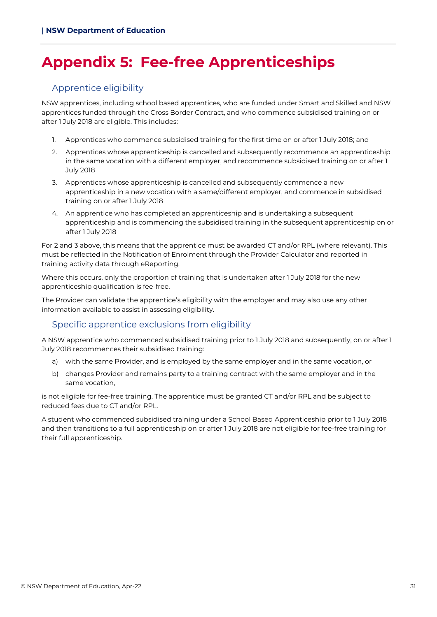## <span id="page-30-0"></span>**Appendix 5: Fee-free Apprenticeships**

#### Apprentice eligibility

NSW apprentices, including school based apprentices, who are funded under Smart and Skilled and NSW apprentices funded through the Cross Border Contract, and who commence subsidised training on or after 1 July 2018 are eligible. This includes:

- 1. Apprentices who commence subsidised training for the first time on or after 1 July 2018; and
- 2. Apprentices whose apprenticeship is cancelled and subsequently recommence an apprenticeship in the same vocation with a different employer, and recommence subsidised training on or after 1 July 2018
- 3. Apprentices whose apprenticeship is cancelled and subsequently commence a new apprenticeship in a new vocation with a same/different employer, and commence in subsidised training on or after 1 July 2018
- 4. An apprentice who has completed an apprenticeship and is undertaking a subsequent apprenticeship and is commencing the subsidised training in the subsequent apprenticeship on or after 1 July 2018

For 2 and 3 above, this means that the apprentice must be awarded CT and/or RPL (where relevant). This must be reflected in the Notification of Enrolment through the Provider Calculator and reported in training activity data through eReporting.

Where this occurs, only the proportion of training that is undertaken after 1 July 2018 for the new apprenticeship qualification is fee-free.

The Provider can validate the apprentice's eligibility with the employer and may also use any other information available to assist in assessing eligibility.

#### Specific apprentice exclusions from eligibility

A NSW apprentice who commenced subsidised training prior to 1 July 2018 and subsequently, on or after 1 July 2018 recommences their subsidised training:

- a) with the same Provider, and is employed by the same employer and in the same vocation, or
- b) changes Provider and remains party to a training contract with the same employer and in the same vocation,

is not eligible for fee-free training. The apprentice must be granted CT and/or RPL and be subject to reduced fees due to CT and/or RPL.

A student who commenced subsidised training under a School Based Apprenticeship prior to 1 July 2018 and then transitions to a full apprenticeship on or after 1 July 2018 are not eligible for fee-free training for their full apprenticeship.